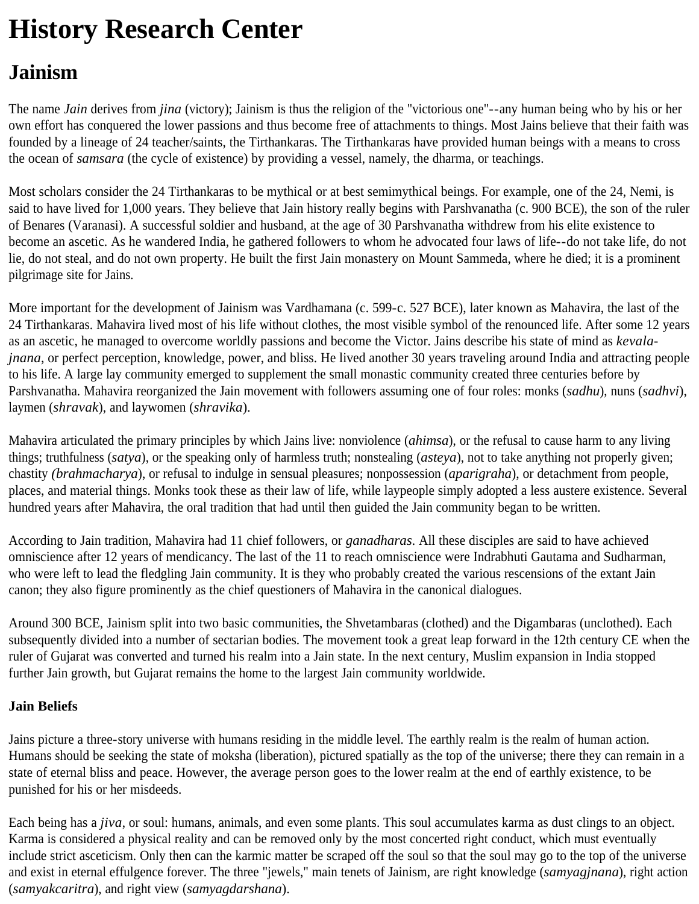# **History Research Center**

## **Jainism**

The name *Jain* derives from *jina* (victory); Jainism is thus the religion of the "victorious one"--any human being who by his or her own effort has conquered the lower passions and thus become free of attachments to things. Most Jains believe that their faith was founded by a lineage of 24 teacher/saints, the Tirthankaras. The Tirthankaras have provided human beings with a means to cross the ocean of *samsara* (the cycle of existence) by providing a vessel, namely, the dharma, or teachings.

Most scholars consider the 24 Tirthankaras to be mythical or at best semimythical beings. For example, one of the 24, Nemi, is said to have lived for 1,000 years. They believe that Jain history really begins with Parshvanatha (c. 900 BCE), the son of the ruler of Benares (Varanasi). A successful soldier and husband, at the age of 30 Parshvanatha withdrew from his elite existence to become an ascetic. As he wandered India, he gathered followers to whom he advocated four laws of life--do not take life, do not lie, do not steal, and do not own property. He built the first Jain monastery on Mount Sammeda, where he died; it is a prominent pilgrimage site for Jains.

More important for the development of Jainism was Vardhamana (c. 599-c. 527 BCE), later known as Mahavira, the last of the 24 Tirthankaras. Mahavira lived most of his life without clothes, the most visible symbol of the renounced life. After some 12 years as an ascetic, he managed to overcome worldly passions and become the Victor. Jains describe his state of mind as *kevalajnana*, or perfect perception, knowledge, power, and bliss. He lived another 30 years traveling around India and attracting people to his life. A large lay community emerged to supplement the small monastic community created three centuries before by Parshvanatha. Mahavira reorganized the Jain movement with followers assuming one of four roles: monks (*sadhu*), nuns (*sadhvi*), laymen (*shravak*), and laywomen (*shravika*).

Mahavira articulated the primary principles by which Jains live: nonviolence (*ahimsa*), or the refusal to cause harm to any living things; truthfulness (*satya*), or the speaking only of harmless truth; nonstealing (*asteya*), not to take anything not properly given; chastity *(brahmacharya*), or refusal to indulge in sensual pleasures; nonpossession (*aparigraha*), or detachment from people, places, and material things. Monks took these as their law of life, while laypeople simply adopted a less austere existence. Several hundred years after Mahavira, the oral tradition that had until then guided the Jain community began to be written.

According to Jain tradition, Mahavira had 11 chief followers, or *ganadharas*. All these disciples are said to have achieved omniscience after 12 years of mendicancy. The last of the 11 to reach omniscience were Indrabhuti Gautama and Sudharman, who were left to lead the fledgling Jain community. It is they who probably created the various rescensions of the extant Jain canon; they also figure prominently as the chief questioners of Mahavira in the canonical dialogues.

Around 300 BCE, Jainism split into two basic communities, the Shvetambaras (clothed) and the Digambaras (unclothed). Each subsequently divided into a number of sectarian bodies. The movement took a great leap forward in the 12th century CE when the ruler of Gujarat was converted and turned his realm into a Jain state. In the next century, Muslim expansion in India stopped further Jain growth, but Gujarat remains the home to the largest Jain community worldwide.

### **Jain Beliefs**

Jains picture a three-story universe with humans residing in the middle level. The earthly realm is the realm of human action. Humans should be seeking the state of moksha (liberation), pictured spatially as the top of the universe; there they can remain in a state of eternal bliss and peace. However, the average person goes to the lower realm at the end of earthly existence, to be punished for his or her misdeeds.

Each being has a *jiva*, or soul: humans, animals, and even some plants. This soul accumulates karma as dust clings to an object. Karma is considered a physical reality and can be removed only by the most concerted right conduct, which must eventually include strict asceticism. Only then can the karmic matter be scraped off the soul so that the soul may go to the top of the universe and exist in eternal effulgence forever. The three "jewels," main tenets of Jainism, are right knowledge (*samyagjnana*), right action (*samyakcaritra*), and right view (*samyagdarshana*).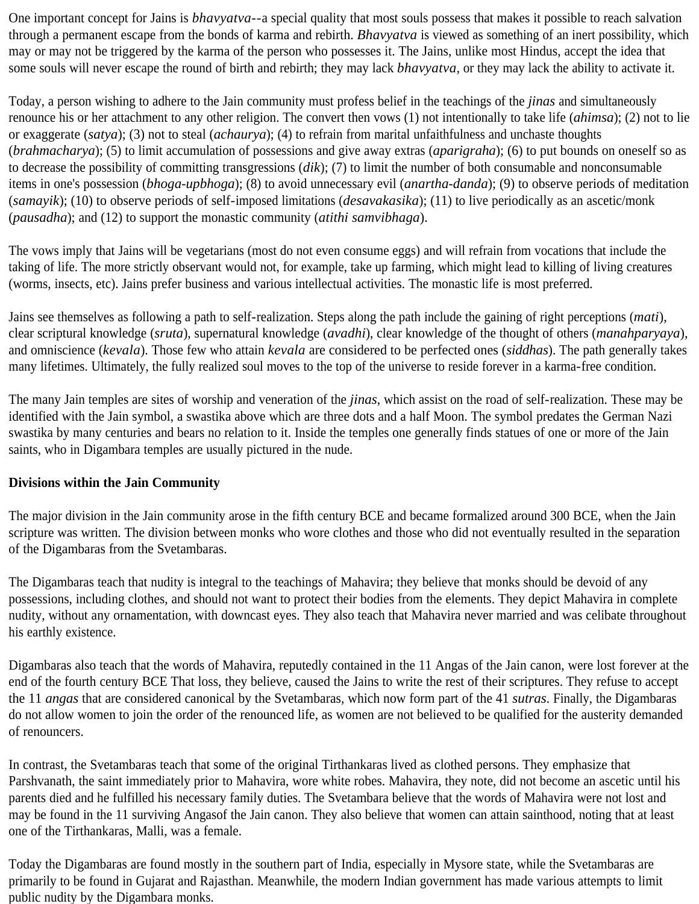One important concept for Jains is *bhavyatva*--a special quality that most souls possess that makes it possible to reach salvation through a permanent escape from the bonds of karma and rebirth. *Bhavyatva* is viewed as something of an inert possibility, which may or may not be triggered by the karma of the person who possesses it. The Jains, unlike most Hindus, accept the idea that some souls will never escape the round of birth and rebirth; they may lack *bhavyatva*, or they may lack the ability to activate it.

Today, a person wishing to adhere to the Jain community must profess belief in the teachings of the *jinas* and simultaneously renounce his or her attachment to any other religion. The convert then vows (1) not intentionally to take life (*ahimsa*); (2) not to lie or exaggerate (*satya*); (3) not to steal (*achaurya*); (4) to refrain from marital unfaithfulness and unchaste thoughts (*brahmacharya*); (5) to limit accumulation of possessions and give away extras (*aparigraha*); (6) to put bounds on oneself so as to decrease the possibility of committing transgressions (*dik*); (7) to limit the number of both consumable and nonconsumable items in one's possession (*bhoga-upbhoga*); (8) to avoid unnecessary evil (*anartha-danda*); (9) to observe periods of meditation (*samayik*); (10) to observe periods of self-imposed limitations (*desavakasika*); (11) to live periodically as an ascetic/monk (*pausadha*); and (12) to support the monastic community (*atithi samvibhaga*).

The vows imply that Jains will be vegetarians (most do not even consume eggs) and will refrain from vocations that include the taking of life. The more strictly observant would not, for example, take up farming, which might lead to killing of living creatures (worms, insects, etc). Jains prefer business and various intellectual activities. The monastic life is most preferred.

Jains see themselves as following a path to self-realization. Steps along the path include the gaining of right perceptions (*mati*), clear scriptural knowledge (*sruta*), supernatural knowledge (*avadhi*), clear knowledge of the thought of others (*manahparyaya*), and omniscience (*kevala*). Those few who attain *kevala* are considered to be perfected ones (*siddhas*). The path generally takes many lifetimes. Ultimately, the fully realized soul moves to the top of the universe to reside forever in a karma-free condition.

The many Jain temples are sites of worship and veneration of the *jinas*, which assist on the road of self-realization. These may be identified with the Jain symbol, a swastika above which are three dots and a half Moon. The symbol predates the German Nazi swastika by many centuries and bears no relation to it. Inside the temples one generally finds statues of one or more of the Jain saints, who in Digambara temples are usually pictured in the nude.

#### **Divisions within the Jain Community**

The major division in the Jain community arose in the fifth century BCE and became formalized around 300 BCE, when the Jain scripture was written. The division between monks who wore clothes and those who did not eventually resulted in the separation of the Digambaras from the Svetambaras.

The Digambaras teach that nudity is integral to the teachings of Mahavira; they believe that monks should be devoid of any possessions, including clothes, and should not want to protect their bodies from the elements. They depict Mahavira in complete nudity, without any ornamentation, with downcast eyes. They also teach that Mahavira never married and was celibate throughout his earthly existence.

Digambaras also teach that the words of Mahavira, reputedly contained in the 11 Angas of the Jain canon, were lost forever at the end of the fourth century BCE That loss, they believe, caused the Jains to write the rest of their scriptures. They refuse to accept the 11 *angas* that are considered canonical by the Svetambaras, which now form part of the 41 *sutras*. Finally, the Digambaras do not allow women to join the order of the renounced life, as women are not believed to be qualified for the austerity demanded of renouncers.

In contrast, the Svetambaras teach that some of the original Tirthankaras lived as clothed persons. They emphasize that Parshvanath, the saint immediately prior to Mahavira, wore white robes. Mahavira, they note, did not become an ascetic until his parents died and he fulfilled his necessary family duties. The Svetambara believe that the words of Mahavira were not lost and may be found in the 11 surviving Angasof the Jain canon. They also believe that women can attain sainthood, noting that at least one of the Tirthankaras, Malli, was a female.

Today the Digambaras are found mostly in the southern part of India, especially in Mysore state, while the Svetambaras are primarily to be found in Gujarat and Rajasthan. Meanwhile, the modern Indian government has made various attempts to limit public nudity by the Digambara monks.